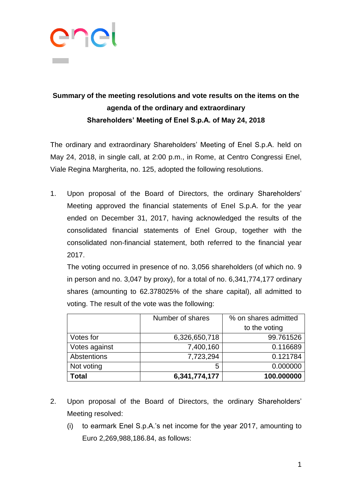

## **Summary of the meeting resolutions and vote results on the items on the agenda of the ordinary and extraordinary Shareholders' Meeting of Enel S.p.A. of May 24, 2018**

The ordinary and extraordinary Shareholders' Meeting of Enel S.p.A. held on May 24, 2018, in single call, at 2:00 p.m., in Rome, at Centro Congressi Enel, Viale Regina Margherita, no. 125, adopted the following resolutions.

1. Upon proposal of the Board of Directors, the ordinary Shareholders' Meeting approved the financial statements of Enel S.p.A. for the year ended on December 31, 2017, having acknowledged the results of the consolidated financial statements of Enel Group, together with the consolidated non-financial statement, both referred to the financial year 2017.

The voting occurred in presence of no. 3,056 shareholders (of which no. 9 in person and no. 3,047 by proxy), for a total of no. 6,341,774,177 ordinary shares (amounting to 62.378025% of the share capital), all admitted to voting. The result of the vote was the following:

|               | Number of shares | % on shares admitted |
|---------------|------------------|----------------------|
|               |                  | to the voting        |
| Votes for     | 6,326,650,718    | 99.761526            |
| Votes against | 7,400,160        | 0.116689             |
| Abstentions   | 7,723,294        | 0.121784             |
| Not voting    | 5                | 0.000000             |
| Total         | 6,341,774,177    | 100.000000           |

- 2. Upon proposal of the Board of Directors, the ordinary Shareholders' Meeting resolved:
	- (i) to earmark Enel S.p.A.'s net income for the year 2017, amounting to Euro 2,269,988,186.84, as follows: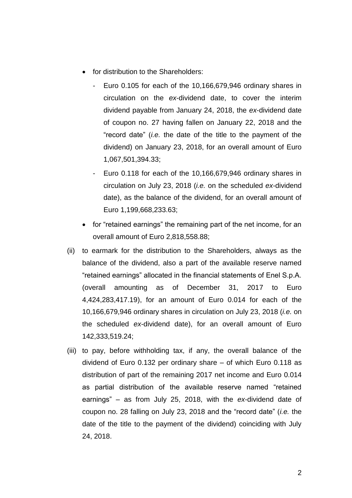- for distribution to the Shareholders:
	- Euro  $0.105$  for each of the  $10,166,679,946$  ordinary shares in circulation on the *ex*-dividend date, to cover the interim dividend payable from January 24, 2018, the *ex*-dividend date of coupon no. 27 having fallen on January 22, 2018 and the "record date" (*i.e.* the date of the title to the payment of the dividend) on January 23, 2018, for an overall amount of Euro 1,067,501,394.33;
	- Euro 0.118 for each of the 10,166,679,946 ordinary shares in circulation on July 23, 2018 (*i.e.* on the scheduled *ex*-dividend date), as the balance of the dividend, for an overall amount of Euro 1,199,668,233.63;
- for "retained earnings" the remaining part of the net income, for an overall amount of Euro 2,818,558.88;
- (ii) to earmark for the distribution to the Shareholders, always as the balance of the dividend, also a part of the available reserve named "retained earnings" allocated in the financial statements of Enel S.p.A. (overall amounting as of December 31, 2017 to Euro 4,424,283,417.19), for an amount of Euro 0.014 for each of the 10,166,679,946 ordinary shares in circulation on July 23, 2018 (*i.e.* on the scheduled *ex*-dividend date), for an overall amount of Euro 142,333,519.24;
- (iii) to pay, before withholding tax, if any, the overall balance of the dividend of Euro 0.132 per ordinary share – of which Euro 0.118 as distribution of part of the remaining 2017 net income and Euro 0.014 as partial distribution of the available reserve named "retained earnings" – as from July 25, 2018, with the *ex*-dividend date of coupon no. 28 falling on July 23, 2018 and the "record date" (*i.e.* the date of the title to the payment of the dividend) coinciding with July 24, 2018.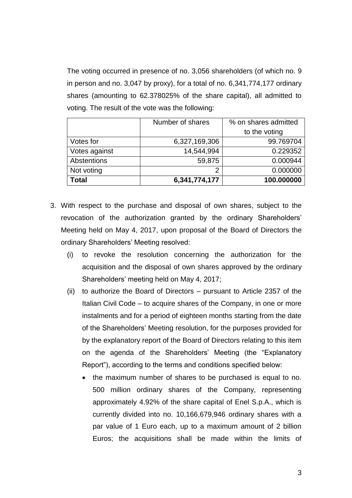The voting occurred in presence of no. 3,056 shareholders (of which no. 9 in person and no. 3,047 by proxy), for a total of no. 6,341,774,177 ordinary shares (amounting to 62.378025% of the share capital), all admitted to voting. The result of the vote was the following:

|               | Number of shares | % on shares admitted |
|---------------|------------------|----------------------|
|               |                  | to the voting        |
| Votes for     | 6,327,169,306    | 99.769704            |
| Votes against | 14,544,994       | 0.229352             |
| Abstentions   | 59,875           | 0.000944             |
| Not voting    | っ                | 0.000000             |
| Total         | 6,341,774,177    | 100.000000           |

- 3. With respect to the purchase and disposal of own shares, subject to the revocation of the authorization granted by the ordinary Shareholders' Meeting held on May 4, 2017, upon proposal of the Board of Directors the ordinary Shareholders' Meeting resolved:
	- (i) to revoke the resolution concerning the authorization for the acquisition and the disposal of own shares approved by the ordinary Shareholders' meeting held on May 4, 2017;
	- (ii) to authorize the Board of Directors pursuant to Article 2357 of the Italian Civil Code – to acquire shares of the Company, in one or more instalments and for a period of eighteen months starting from the date of the Shareholders' Meeting resolution, for the purposes provided for by the explanatory report of the Board of Directors relating to this item on the agenda of the Shareholders' Meeting (the "Explanatory Report"), according to the terms and conditions specified below:
		- the maximum number of shares to be purchased is equal to no. 500 million ordinary shares of the Company, representing approximately 4.92% of the share capital of Enel S.p.A., which is currently divided into no. 10,166,679,946 ordinary shares with a par value of 1 Euro each, up to a maximum amount of 2 billion Euros; the acquisitions shall be made within the limits of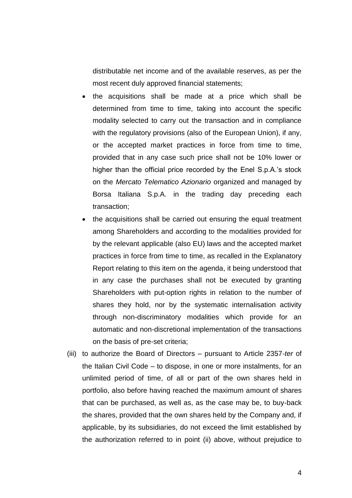distributable net income and of the available reserves, as per the most recent duly approved financial statements;

- the acquisitions shall be made at a price which shall be determined from time to time, taking into account the specific modality selected to carry out the transaction and in compliance with the regulatory provisions (also of the European Union), if any, or the accepted market practices in force from time to time, provided that in any case such price shall not be 10% lower or higher than the official price recorded by the Enel S.p.A.'s stock on the *Mercato Telematico Azionario* organized and managed by Borsa Italiana S.p.A. in the trading day preceding each transaction;
- the acquisitions shall be carried out ensuring the equal treatment among Shareholders and according to the modalities provided for by the relevant applicable (also EU) laws and the accepted market practices in force from time to time, as recalled in the Explanatory Report relating to this item on the agenda, it being understood that in any case the purchases shall not be executed by granting Shareholders with put-option rights in relation to the number of shares they hold, nor by the systematic internalisation activity through non-discriminatory modalities which provide for an automatic and non-discretional implementation of the transactions on the basis of pre-set criteria;
- (iii) to authorize the Board of Directors pursuant to Article 2357-*ter* of the Italian Civil Code – to dispose, in one or more instalments, for an unlimited period of time, of all or part of the own shares held in portfolio, also before having reached the maximum amount of shares that can be purchased, as well as, as the case may be, to buy-back the shares, provided that the own shares held by the Company and, if applicable, by its subsidiaries, do not exceed the limit established by the authorization referred to in point (ii) above, without prejudice to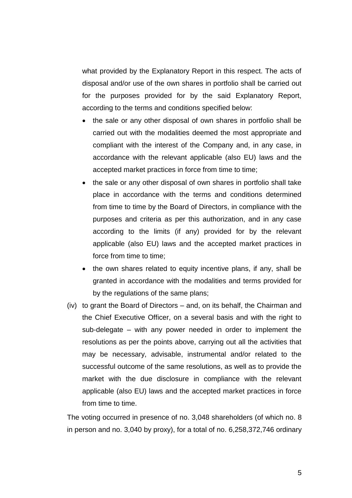what provided by the Explanatory Report in this respect. The acts of disposal and/or use of the own shares in portfolio shall be carried out for the purposes provided for by the said Explanatory Report, according to the terms and conditions specified below:

- the sale or any other disposal of own shares in portfolio shall be carried out with the modalities deemed the most appropriate and compliant with the interest of the Company and, in any case, in accordance with the relevant applicable (also EU) laws and the accepted market practices in force from time to time;
- the sale or any other disposal of own shares in portfolio shall take place in accordance with the terms and conditions determined from time to time by the Board of Directors, in compliance with the purposes and criteria as per this authorization, and in any case according to the limits (if any) provided for by the relevant applicable (also EU) laws and the accepted market practices in force from time to time;
- the own shares related to equity incentive plans, if any, shall be granted in accordance with the modalities and terms provided for by the regulations of the same plans;
- (iv) to grant the Board of Directors and, on its behalf, the Chairman and the Chief Executive Officer, on a several basis and with the right to sub-delegate – with any power needed in order to implement the resolutions as per the points above, carrying out all the activities that may be necessary, advisable, instrumental and/or related to the successful outcome of the same resolutions, as well as to provide the market with the due disclosure in compliance with the relevant applicable (also EU) laws and the accepted market practices in force from time to time.

The voting occurred in presence of no. 3,048 shareholders (of which no. 8 in person and no. 3,040 by proxy), for a total of no. 6,258,372,746 ordinary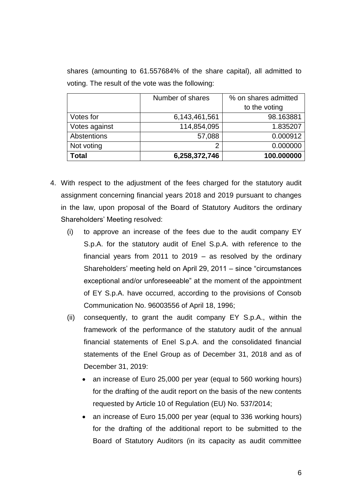shares (amounting to 61.557684% of the share capital), all admitted to voting. The result of the vote was the following:

|               | Number of shares | % on shares admitted |
|---------------|------------------|----------------------|
|               |                  | to the voting        |
| Votes for     | 6,143,461,561    | 98.163881            |
| Votes against | 114,854,095      | 1.835207             |
| Abstentions   | 57,088           | 0.000912             |
| Not voting    | ⌒                | 0.000000             |
| Total         | 6,258,372,746    | 100.000000           |

- 4. With respect to the adjustment of the fees charged for the statutory audit assignment concerning financial years 2018 and 2019 pursuant to changes in the law, upon proposal of the Board of Statutory Auditors the ordinary Shareholders' Meeting resolved:
	- (i) to approve an increase of the fees due to the audit company EY S.p.A. for the statutory audit of Enel S.p.A. with reference to the financial years from 2011 to 2019 – as resolved by the ordinary Shareholders' meeting held on April 29, 2011 – since "circumstances exceptional and/or unforeseeable" at the moment of the appointment of EY S.p.A. have occurred, according to the provisions of Consob Communication No. 96003556 of April 18, 1996;
	- (ii) consequently, to grant the audit company EY S.p.A., within the framework of the performance of the statutory audit of the annual financial statements of Enel S.p.A. and the consolidated financial statements of the Enel Group as of December 31, 2018 and as of December 31, 2019:
		- an increase of Euro 25,000 per year (equal to 560 working hours) for the drafting of the audit report on the basis of the new contents requested by Article 10 of Regulation (EU) No. 537/2014;
		- an increase of Euro 15,000 per year (equal to 336 working hours) for the drafting of the additional report to be submitted to the Board of Statutory Auditors (in its capacity as audit committee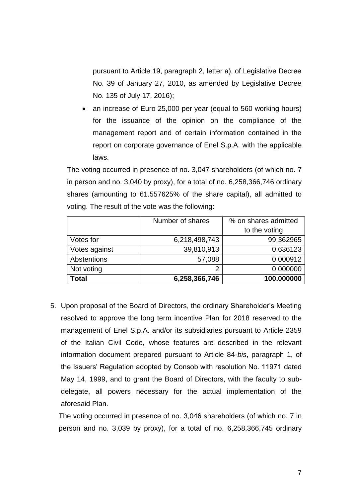pursuant to Article 19, paragraph 2, letter a), of Legislative Decree No. 39 of January 27, 2010, as amended by Legislative Decree No. 135 of July 17, 2016);

• an increase of Euro 25,000 per year (equal to 560 working hours) for the issuance of the opinion on the compliance of the management report and of certain information contained in the report on corporate governance of Enel S.p.A. with the applicable laws.

The voting occurred in presence of no. 3,047 shareholders (of which no. 7 in person and no. 3,040 by proxy), for a total of no. 6,258,366,746 ordinary shares (amounting to 61.557625% of the share capital), all admitted to voting. The result of the vote was the following:

|               | Number of shares | % on shares admitted |
|---------------|------------------|----------------------|
|               |                  | to the voting        |
| Votes for     | 6,218,498,743    | 99.362965            |
| Votes against | 39,810,913       | 0.636123             |
| Abstentions   | 57,088           | 0.000912             |
| Not voting    | ◠                | 0.000000             |
| Total         | 6,258,366,746    | 100.000000           |

5. Upon proposal of the Board of Directors, the ordinary Shareholder's Meeting resolved to approve the long term incentive Plan for 2018 reserved to the management of Enel S.p.A. and/or its subsidiaries pursuant to Article 2359 of the Italian Civil Code, whose features are described in the relevant information document prepared pursuant to Article 84-*bis*, paragraph 1, of the Issuers' Regulation adopted by Consob with resolution No. 11971 dated May 14, 1999, and to grant the Board of Directors, with the faculty to subdelegate, all powers necessary for the actual implementation of the aforesaid Plan.

The voting occurred in presence of no. 3,046 shareholders (of which no. 7 in person and no. 3,039 by proxy), for a total of no. 6,258,366,745 ordinary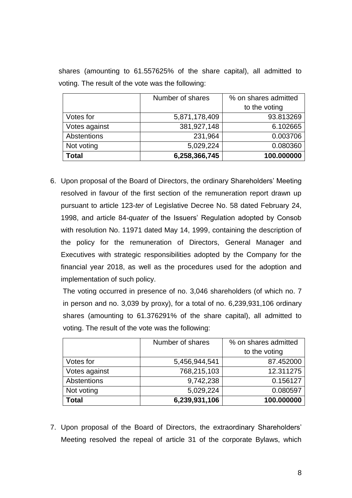shares (amounting to 61.557625% of the share capital), all admitted to voting. The result of the vote was the following:

|               | Number of shares | % on shares admitted |
|---------------|------------------|----------------------|
|               |                  | to the voting        |
| Votes for     | 5,871,178,409    | 93.813269            |
| Votes against | 381,927,148      | 6.102665             |
| Abstentions   | 231,964          | 0.003706             |
| Not voting    | 5,029,224        | 0.080360             |
| Total         | 6,258,366,745    | 100.000000           |

6. Upon proposal of the Board of Directors, the ordinary Shareholders' Meeting resolved in favour of the first section of the remuneration report drawn up pursuant to article 123-*ter* of Legislative Decree No. 58 dated February 24, 1998, and article 84-*quater* of the Issuers' Regulation adopted by Consob with resolution No. 11971 dated May 14, 1999, containing the description of the policy for the remuneration of Directors, General Manager and Executives with strategic responsibilities adopted by the Company for the financial year 2018, as well as the procedures used for the adoption and implementation of such policy.

The voting occurred in presence of no. 3,046 shareholders (of which no. 7 in person and no. 3,039 by proxy), for a total of no. 6,239,931,106 ordinary shares (amounting to 61.376291% of the share capital), all admitted to voting. The result of the vote was the following:

|               | Number of shares | % on shares admitted |
|---------------|------------------|----------------------|
|               |                  | to the voting        |
| Votes for     | 5,456,944,541    | 87.452000            |
| Votes against | 768,215,103      | 12.311275            |
| Abstentions   | 9,742,238        | 0.156127             |
| Not voting    | 5,029,224        | 0.080597             |
| <b>Total</b>  | 6,239,931,106    | 100.000000           |

7. Upon proposal of the Board of Directors, the extraordinary Shareholders' Meeting resolved the repeal of article 31 of the corporate Bylaws, which